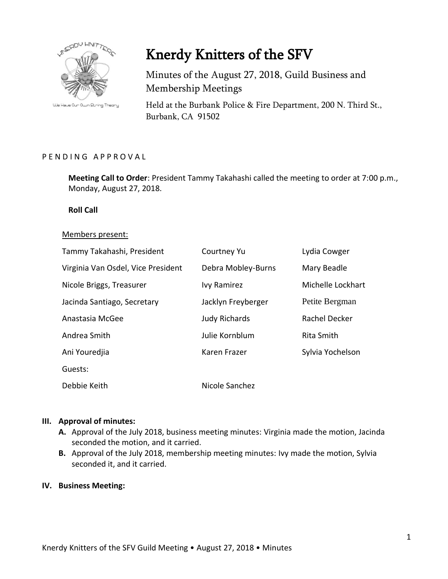

We Have Our Own String Theory

# Knerdy Knitters of the SFV

Minutes of the August 27, 2018, Guild Business and Membership Meetings

Held at the Burbank Police & Fire Department, 200 N. Third St., Burbank, CA 91502

## PENDING APPROVAL

**Meeting Call to Order**: President Tammy Takahashi called the meeting to order at 7:00 p.m., Monday, August 27, 2018.

#### **Roll Call**

#### Members present:

| Tammy Takahashi, President         | Courtney Yu          | Lydia Cowger      |
|------------------------------------|----------------------|-------------------|
| Virginia Van Osdel, Vice President | Debra Mobley-Burns   | Mary Beadle       |
| Nicole Briggs, Treasurer           | Ivy Ramirez          | Michelle Lockhart |
| Jacinda Santiago, Secretary        | Jacklyn Freyberger   | Petite Bergman    |
| Anastasia McGee                    | <b>Judy Richards</b> | Rachel Decker     |
| Andrea Smith                       | Julie Kornblum       | Rita Smith        |
| Ani Youredjia                      | Karen Frazer         | Sylvia Yochelson  |
| Guests:                            |                      |                   |
| Debbie Keith                       | Nicole Sanchez       |                   |

## **III. Approval of minutes:**

- **A.** Approval of the July 2018, business meeting minutes: Virginia made the motion, Jacinda seconded the motion, and it carried.
- **B.** Approval of the July 2018, membership meeting minutes: Ivy made the motion, Sylvia seconded it, and it carried.

#### **IV. Business Meeting:**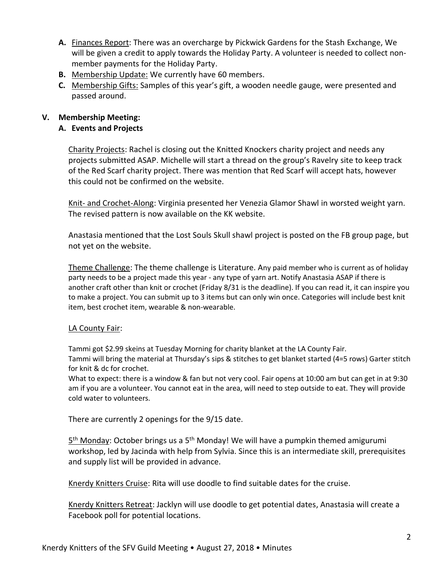- **A.** Finances Report: There was an overcharge by Pickwick Gardens for the Stash Exchange, We will be given a credit to apply towards the Holiday Party. A volunteer is needed to collect nonmember payments for the Holiday Party.
- **B.** Membership Update: We currently have 60 members.
- **C.** Membership Gifts: Samples of this year's gift, a wooden needle gauge, were presented and passed around.

# **V. Membership Meeting:**

# **A. Events and Projects**

Charity Projects: Rachel is closing out the Knitted Knockers charity project and needs any projects submitted ASAP. Michelle will start a thread on the group's Ravelry site to keep track of the Red Scarf charity project. There was mention that Red Scarf will accept hats, however this could not be confirmed on the website.

Knit- and Crochet-Along: Virginia presented her Venezia Glamor Shawl in worsted weight yarn. The revised pattern is now available on the KK website.

Anastasia mentioned that the Lost Souls Skull shawl project is posted on the FB group page, but not yet on the website.

Theme Challenge: The theme challenge is Literature. Any paid member who is current as of holiday party needs to be a project made this year - any type of yarn art. Notify Anastasia ASAP if there is another craft other than knit or crochet (Friday 8/31 is the deadline). If you can read it, it can inspire you to make a project. You can submit up to 3 items but can only win once. Categories will include best knit item, best crochet item, wearable & non-wearable.

# LA County Fair:

Tammi got \$2.99 skeins at Tuesday Morning for charity blanket at the LA County Fair.

Tammi will bring the material at Thursday's sips & stitches to get blanket started (4=5 rows) Garter stitch for knit & dc for crochet.

What to expect: there is a window & fan but not very cool. Fair opens at 10:00 am but can get in at 9:30 am if you are a volunteer. You cannot eat in the area, will need to step outside to eat. They will provide cold water to volunteers.

There are currently 2 openings for the 9/15 date.

5<sup>th</sup> Monday: October brings us a 5<sup>th</sup> Monday! We will have a pumpkin themed amigurumi workshop, led by Jacinda with help from Sylvia. Since this is an intermediate skill, prerequisites and supply list will be provided in advance.

Knerdy Knitters Cruise: Rita will use doodle to find suitable dates for the cruise.

Knerdy Knitters Retreat: Jacklyn will use doodle to get potential dates, Anastasia will create a Facebook poll for potential locations.